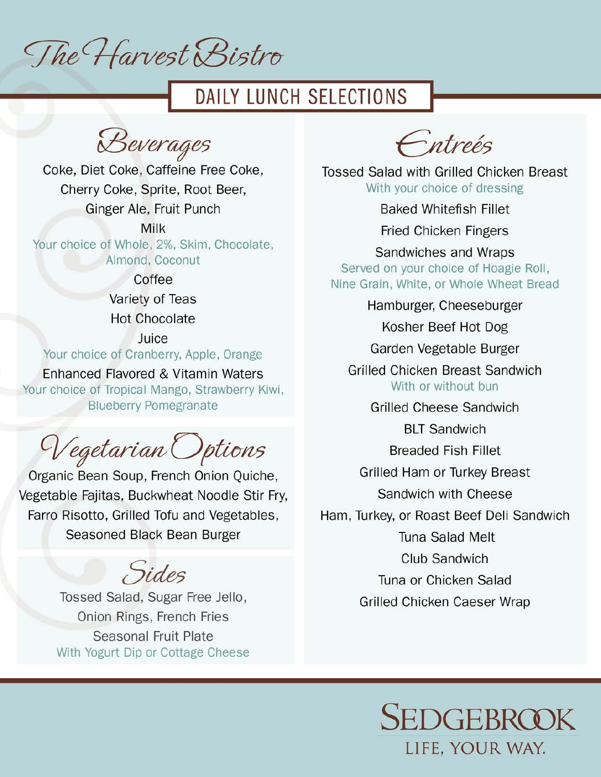The Harvest Bistro

# DAILY LUNCH SELECTIONS

Beverages  $CD_{\text{c}}$ <u>Cover</u> age,

Daily Lunch Selections,

Coke, Diet Coke, Caffeine Free Coke, Your choice of Whole, 2%, Skim, Chocolate, Almond, Coconut Cily Ginger Ale, Fruit Punch Hot Chocolate

Milk Your choice of Whole, 2%, Skim, Chocolate, Almond Coganut Your choice of Tropical Mango, Strawberry Kiwi, Blueberry Pomegranate

> Coffee Variety of Teas Hot Chocolate

Juice hoise of Crophorm, An nonce of Granden y,

Enhanced Flavored & Vitamin Waters Your choice of Tropical Mango, Strawberry Kiwi, **Blueberry Pomegranate** 

 $\sim$   $\sim$   $\sim$  $\epsilon$ getar can Sandwiches and Wraps

Bean Soup, Frencn Onion Faijtee, Bueleyheet Needle B Hajitas, Duckwitch Farro Risotto, Grilled Tofu and Vegetables, Garden Vegetable Burger easoned Black Bean B

 $\overline{\phantom{a}}$ BLT Sandwich  $\overline{\phantom{a}}$ 

Tossed Salad, Sugar Free Jello, Sandwich with Cheese Union Rings, French Fries Sancong Club Sandwich Sandwich Sandwich Sandwich Sandwich Sandwich Sandwich Sandwich Sandwich Sandwich Sandwich Sandwich Sandwich Sandwich Sandwich Sandwich Sandwich Sandwich Sandwich Sandwich Sandwich Sandwich Sandwich Sandwich S With Yogurt Dip or Cottage Cheese

Entreés

**Tossed Salad with Grilled Chicken Breast** With your choice of dressing

**Baked Whitefish Fillet** 

**Fried Chicken Fingers** 

Sandwiches and Wraps Nine Grain, White, or Whole Wheat Bread

Hamburger, Cheeseburger

Kosher Beef Hot Dog

Garden Vegetable Burger

Grilled Chicken Breast Sandwich With or without bun

**Grilled Cheese Sandwich** 

**BLT Sandwich** 

**Breaded Fish Fillet** 

Grilled Ham or Turkey Breast

Sandwich with Cheese

Ham, Turkey, or Roast Beef Deli Sandwich

Tuna Salad Melt

Club Sandwich

Tuna or Chicken Salad Grilled Chicken Caeser Wrap